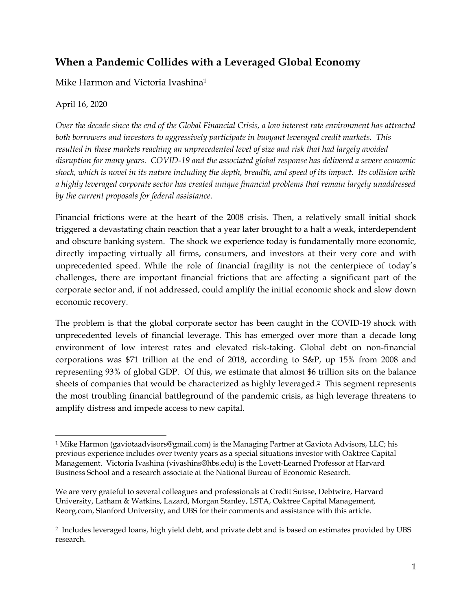# **When a Pandemic Collides with a Leveraged Global Economy**

Mike Harmon and Victoria Ivashina1

### April 16, 2020

*Over the decade since the end of the Global Financial Crisis, a low interest rate environment has attracted both borrowers and investors to aggressively participate in buoyant leveraged credit markets. This resulted in these markets reaching an unprecedented level of size and risk that had largely avoided disruption for many years. COVID-19 and the associated global response has delivered a severe economic shock, which is novel in its nature including the depth, breadth, and speed of its impact. Its collision with a highly leveraged corporate sector has created unique financial problems that remain largely unaddressed by the current proposals for federal assistance.* 

Financial frictions were at the heart of the 2008 crisis. Then, a relatively small initial shock triggered a devastating chain reaction that a year later brought to a halt a weak, interdependent and obscure banking system. The shock we experience today is fundamentally more economic, directly impacting virtually all firms, consumers, and investors at their very core and with unprecedented speed. While the role of financial fragility is not the centerpiece of today's challenges, there are important financial frictions that are affecting a significant part of the corporate sector and, if not addressed, could amplify the initial economic shock and slow down economic recovery.

The problem is that the global corporate sector has been caught in the COVID-19 shock with unprecedented levels of financial leverage. This has emerged over more than a decade long environment of low interest rates and elevated risk-taking. Global debt on non-financial corporations was \$71 trillion at the end of 2018, according to S&P, up 15% from 2008 and representing 93% of global GDP. Of this, we estimate that almost \$6 trillion sits on the balance sheets of companies that would be characterized as highly leveraged.2 This segment represents the most troubling financial battleground of the pandemic crisis, as high leverage threatens to amplify distress and impede access to new capital.

 1 Mike Harmon (gaviotaadvisors@gmail.com) is the Managing Partner at Gaviota Advisors, LLC; his previous experience includes over twenty years as a special situations investor with Oaktree Capital Management. Victoria Ivashina (vivashins@hbs.edu) is the Lovett-Learned Professor at Harvard Business School and a research associate at the National Bureau of Economic Research.

We are very grateful to several colleagues and professionals at Credit Suisse, Debtwire, Harvard University, Latham & Watkins, Lazard, Morgan Stanley, LSTA, Oaktree Capital Management, Reorg.com, Stanford University, and UBS for their comments and assistance with this article.

<sup>2</sup> Includes leveraged loans, high yield debt, and private debt and is based on estimates provided by UBS research.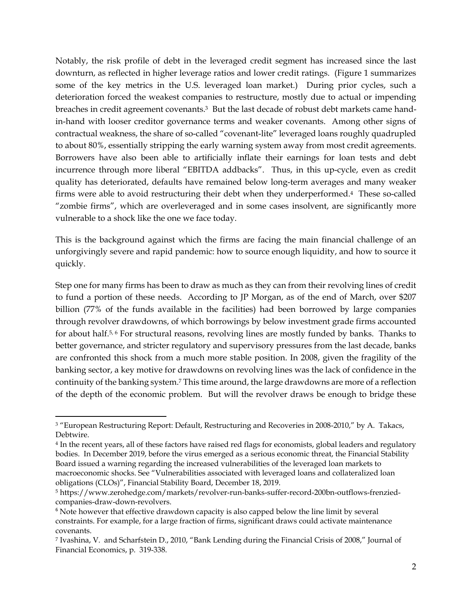Notably, the risk profile of debt in the leveraged credit segment has increased since the last downturn, as reflected in higher leverage ratios and lower credit ratings. (Figure 1 summarizes some of the key metrics in the U.S. leveraged loan market.) During prior cycles, such a deterioration forced the weakest companies to restructure, mostly due to actual or impending breaches in credit agreement covenants.3 But the last decade of robust debt markets came handin-hand with looser creditor governance terms and weaker covenants. Among other signs of contractual weakness, the share of so-called "covenant-lite" leveraged loans roughly quadrupled to about 80%, essentially stripping the early warning system away from most credit agreements. Borrowers have also been able to artificially inflate their earnings for loan tests and debt incurrence through more liberal "EBITDA addbacks". Thus, in this up-cycle, even as credit quality has deteriorated, defaults have remained below long-term averages and many weaker firms were able to avoid restructuring their debt when they underperformed.4 These so-called "zombie firms", which are overleveraged and in some cases insolvent, are significantly more vulnerable to a shock like the one we face today.

This is the background against which the firms are facing the main financial challenge of an unforgivingly severe and rapid pandemic: how to source enough liquidity, and how to source it quickly.

Step one for many firms has been to draw as much as they can from their revolving lines of credit to fund a portion of these needs. According to JP Morgan, as of the end of March, over \$207 billion (77% of the funds available in the facilities) had been borrowed by large companies through revolver drawdowns, of which borrowings by below investment grade firms accounted for about half.5, 6 For structural reasons, revolving lines are mostly funded by banks. Thanks to better governance, and stricter regulatory and supervisory pressures from the last decade, banks are confronted this shock from a much more stable position. In 2008, given the fragility of the banking sector, a key motive for drawdowns on revolving lines was the lack of confidence in the continuity of the banking system.7 This time around, the large drawdowns are more of a reflection of the depth of the economic problem. But will the revolver draws be enough to bridge these

<sup>&</sup>lt;sup>3</sup> "European Restructuring Report: Default, Restructuring and Recoveries in 2008-2010," by A. Takacs, Debtwire.

<sup>4</sup> In the recent years, all of these factors have raised red flags for economists, global leaders and regulatory bodies. In December 2019, before the virus emerged as a serious economic threat, the Financial Stability Board issued a warning regarding the increased vulnerabilities of the leveraged loan markets to macroeconomic shocks. See "Vulnerabilities associated with leveraged loans and collateralized loan obligations (CLOs)", Financial Stability Board, December 18, 2019.

<sup>5</sup> https://www.zerohedge.com/markets/revolver-run-banks-suffer-record-200bn-outflows-frenziedcompanies-draw-down-revolvers.

<sup>&</sup>lt;sup>6</sup> Note however that effective drawdown capacity is also capped below the line limit by several constraints. For example, for a large fraction of firms, significant draws could activate maintenance covenants.

<sup>7</sup> Ivashina, V. and Scharfstein D., 2010, "Bank Lending during the Financial Crisis of 2008," Journal of Financial Economics, p. 319-338.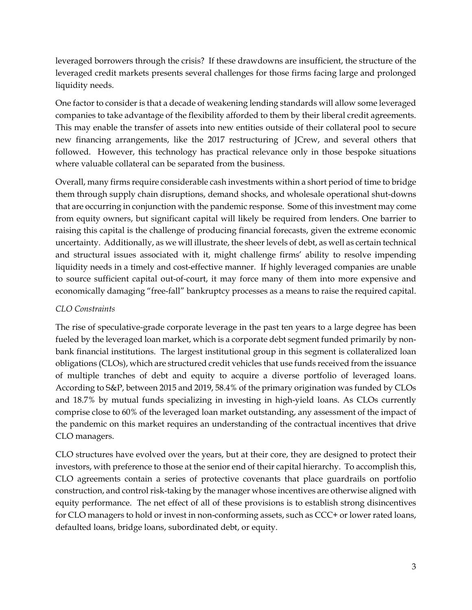leveraged borrowers through the crisis? If these drawdowns are insufficient, the structure of the leveraged credit markets presents several challenges for those firms facing large and prolonged liquidity needs.

One factor to consider is that a decade of weakening lending standards will allow some leveraged companies to take advantage of the flexibility afforded to them by their liberal credit agreements. This may enable the transfer of assets into new entities outside of their collateral pool to secure new financing arrangements, like the 2017 restructuring of JCrew, and several others that followed. However, this technology has practical relevance only in those bespoke situations where valuable collateral can be separated from the business.

Overall, many firms require considerable cash investments within a short period of time to bridge them through supply chain disruptions, demand shocks, and wholesale operational shut-downs that are occurring in conjunction with the pandemic response. Some of this investment may come from equity owners, but significant capital will likely be required from lenders. One barrier to raising this capital is the challenge of producing financial forecasts, given the extreme economic uncertainty. Additionally, as we will illustrate, the sheer levels of debt, as well as certain technical and structural issues associated with it, might challenge firms' ability to resolve impending liquidity needs in a timely and cost-effective manner. If highly leveraged companies are unable to source sufficient capital out-of-court, it may force many of them into more expensive and economically damaging "free-fall" bankruptcy processes as a means to raise the required capital.

#### *CLO Constraints*

The rise of speculative-grade corporate leverage in the past ten years to a large degree has been fueled by the leveraged loan market, which is a corporate debt segment funded primarily by nonbank financial institutions. The largest institutional group in this segment is collateralized loan obligations (CLOs), which are structured credit vehicles that use funds received from the issuance of multiple tranches of debt and equity to acquire a diverse portfolio of leveraged loans. According to S&P, between 2015 and 2019, 58.4% of the primary origination was funded by CLOs and 18.7% by mutual funds specializing in investing in high-yield loans. As CLOs currently comprise close to 60% of the leveraged loan market outstanding, any assessment of the impact of the pandemic on this market requires an understanding of the contractual incentives that drive CLO managers.

CLO structures have evolved over the years, but at their core, they are designed to protect their investors, with preference to those at the senior end of their capital hierarchy. To accomplish this, CLO agreements contain a series of protective covenants that place guardrails on portfolio construction, and control risk-taking by the manager whose incentives are otherwise aligned with equity performance. The net effect of all of these provisions is to establish strong disincentives for CLO managers to hold or invest in non-conforming assets, such as CCC+ or lower rated loans, defaulted loans, bridge loans, subordinated debt, or equity.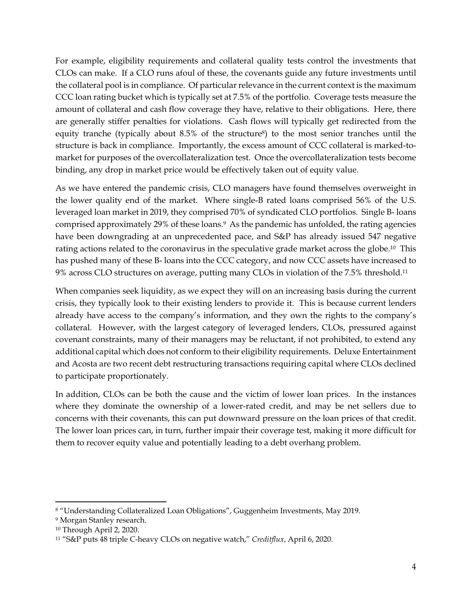For example, eligibility requirements and collateral quality tests control the investments that CLOs can make. If a CLO runs afoul of these, the covenants guide any future investments until the collateral pool is in compliance. Of particular relevance in the current context is the maximum CCC loan rating bucket which is typically set at 7.5% of the portfolio. Coverage tests measure the amount of collateral and cash flow coverage they have, relative to their obligations. Here, there are generally stiffer penalties for violations. Cash flows will typically get redirected from the equity tranche (typically about 8.5% of the structure<sup>8</sup>) to the most senior tranches until the structure is back in compliance. Importantly, the excess amount of CCC collateral is marked-tomarket for purposes of the overcollateralization test. Once the overcollateralization tests become binding, any drop in market price would be effectively taken out of equity value.

As we have entered the pandemic crisis, CLO managers have found themselves overweight in the lower quality end of the market. Where single-B rated loans comprised 56% of the U.S. leveraged loan market in 2019, they comprised 70% of syndicated CLO portfolios. Single B- loans comprised approximately 29% of these loans.<sup>9</sup> As the pandemic has unfolded, the rating agencies have been downgrading at an unprecedented pace, and S&P has already issued 547 negative rating actions related to the coronavirus in the speculative grade market across the globe.10 This has pushed many of these B- loans into the CCC category, and now CCC assets have increased to 9% across CLO structures on average, putting many CLOs in violation of the 7.5% threshold.11

When companies seek liquidity, as we expect they will on an increasing basis during the current crisis, they typically look to their existing lenders to provide it. This is because current lenders already have access to the company's information, and they own the rights to the company's collateral. However, with the largest category of leveraged lenders, CLOs, pressured against covenant constraints, many of their managers may be reluctant, if not prohibited, to extend any additional capital which does not conform to their eligibility requirements. Deluxe Entertainment and Acosta are two recent debt restructuring transactions requiring capital where CLOs declined to participate proportionately.

In addition, CLOs can be both the cause and the victim of lower loan prices. In the instances where they dominate the ownership of a lower-rated credit, and may be net sellers due to concerns with their covenants, this can put downward pressure on the loan prices of that credit. The lower loan prices can, in turn, further impair their coverage test, making it more difficult for them to recover equity value and potentially leading to a debt overhang problem.

<sup>8 &</sup>quot;Understanding Collateralized Loan Obligations", Guggenheim Investments, May 2019.

<sup>9</sup> Morgan Stanley research.

<sup>10</sup> Through April 2, 2020.

<sup>11 &</sup>quot;S&P puts 48 triple C-heavy CLOs on negative watch," *Creditflux*, April 6, 2020.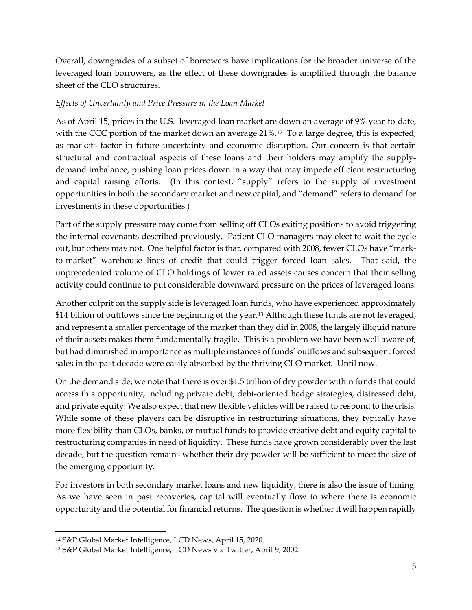Overall, downgrades of a subset of borrowers have implications for the broader universe of the leveraged loan borrowers, as the effect of these downgrades is amplified through the balance sheet of the CLO structures.

#### *Effects of Uncertainty and Price Pressure in the Loan Market*

As of April 15, prices in the U.S. leveraged loan market are down an average of 9% year-to-date, with the CCC portion of the market down an average 21%.<sup>12</sup> To a large degree, this is expected, as markets factor in future uncertainty and economic disruption. Our concern is that certain structural and contractual aspects of these loans and their holders may amplify the supplydemand imbalance, pushing loan prices down in a way that may impede efficient restructuring and capital raising efforts. (In this context, "supply" refers to the supply of investment opportunities in both the secondary market and new capital, and "demand" refers to demand for investments in these opportunities.)

Part of the supply pressure may come from selling off CLOs exiting positions to avoid triggering the internal covenants described previously. Patient CLO managers may elect to wait the cycle out, but others may not. One helpful factor is that, compared with 2008, fewer CLOs have "markto-market" warehouse lines of credit that could trigger forced loan sales. That said, the unprecedented volume of CLO holdings of lower rated assets causes concern that their selling activity could continue to put considerable downward pressure on the prices of leveraged loans.

Another culprit on the supply side is leveraged loan funds, who have experienced approximately \$14 billion of outflows since the beginning of the year.13 Although these funds are not leveraged, and represent a smaller percentage of the market than they did in 2008, the largely illiquid nature of their assets makes them fundamentally fragile. This is a problem we have been well aware of, but had diminished in importance as multiple instances of funds' outflows and subsequent forced sales in the past decade were easily absorbed by the thriving CLO market. Until now.

On the demand side, we note that there is over \$1.5 trillion of dry powder within funds that could access this opportunity, including private debt, debt-oriented hedge strategies, distressed debt, and private equity. We also expect that new flexible vehicles will be raised to respond to the crisis. While some of these players can be disruptive in restructuring situations, they typically have more flexibility than CLOs, banks, or mutual funds to provide creative debt and equity capital to restructuring companies in need of liquidity. These funds have grown considerably over the last decade, but the question remains whether their dry powder will be sufficient to meet the size of the emerging opportunity.

For investors in both secondary market loans and new liquidity, there is also the issue of timing. As we have seen in past recoveries, capital will eventually flow to where there is economic opportunity and the potential for financial returns. The question is whether it will happen rapidly

<sup>12</sup> S&P Global Market Intelligence, LCD News, April 15, 2020.

<sup>13</sup> S&P Global Market Intelligence, LCD News via Twitter, April 9, 2002.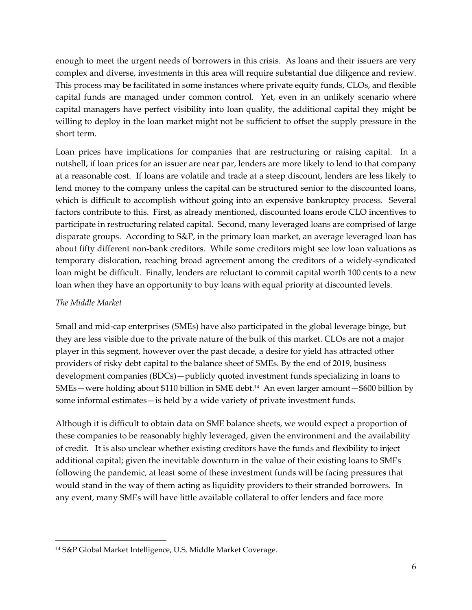enough to meet the urgent needs of borrowers in this crisis. As loans and their issuers are very complex and diverse, investments in this area will require substantial due diligence and review. This process may be facilitated in some instances where private equity funds, CLOs, and flexible capital funds are managed under common control. Yet, even in an unlikely scenario where capital managers have perfect visibility into loan quality, the additional capital they might be willing to deploy in the loan market might not be sufficient to offset the supply pressure in the short term.

Loan prices have implications for companies that are restructuring or raising capital. In a nutshell, if loan prices for an issuer are near par, lenders are more likely to lend to that company at a reasonable cost. If loans are volatile and trade at a steep discount, lenders are less likely to lend money to the company unless the capital can be structured senior to the discounted loans, which is difficult to accomplish without going into an expensive bankruptcy process. Several factors contribute to this. First, as already mentioned, discounted loans erode CLO incentives to participate in restructuring related capital. Second, many leveraged loans are comprised of large disparate groups. According to S&P, in the primary loan market, an average leveraged loan has about fifty different non-bank creditors. While some creditors might see low loan valuations as temporary dislocation, reaching broad agreement among the creditors of a widely-syndicated loan might be difficult. Finally, lenders are reluctant to commit capital worth 100 cents to a new loan when they have an opportunity to buy loans with equal priority at discounted levels.

### *The Middle Market*

Small and mid-cap enterprises (SMEs) have also participated in the global leverage binge, but they are less visible due to the private nature of the bulk of this market. CLOs are not a major player in this segment, however over the past decade, a desire for yield has attracted other providers of risky debt capital to the balance sheet of SMEs. By the end of 2019, business development companies (BDCs)—publicly quoted investment funds specializing in loans to SMEs—were holding about \$110 billion in SME debt.14 An even larger amount—\$600 billion by some informal estimates—is held by a wide variety of private investment funds.

Although it is difficult to obtain data on SME balance sheets, we would expect a proportion of these companies to be reasonably highly leveraged, given the environment and the availability of credit. It is also unclear whether existing creditors have the funds and flexibility to inject additional capital; given the inevitable downturn in the value of their existing loans to SMEs following the pandemic, at least some of these investment funds will be facing pressures that would stand in the way of them acting as liquidity providers to their stranded borrowers. In any event, many SMEs will have little available collateral to offer lenders and face more

 14 S&P Global Market Intelligence, U.S. Middle Market Coverage.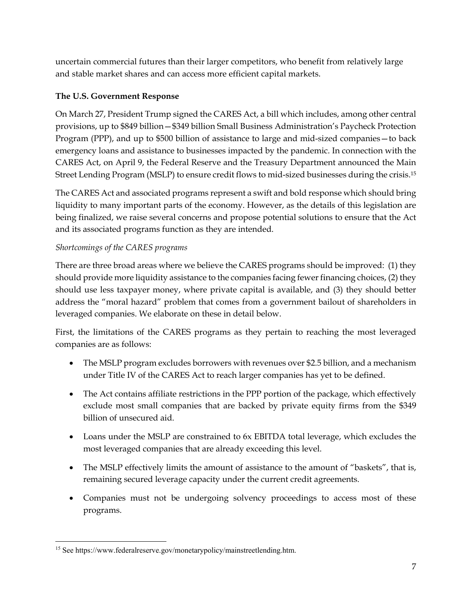uncertain commercial futures than their larger competitors, who benefit from relatively large and stable market shares and can access more efficient capital markets.

# **The U.S. Government Response**

On March 27, President Trump signed the CARES Act, a bill which includes, among other central provisions, up to \$849 billion—\$349 billion Small Business Administration's Paycheck Protection Program (PPP), and up to \$500 billion of assistance to large and mid-sized companies—to back emergency loans and assistance to businesses impacted by the pandemic. In connection with the CARES Act, on April 9, the Federal Reserve and the Treasury Department announced the Main Street Lending Program (MSLP) to ensure credit flows to mid-sized businesses during the crisis.15

The CARES Act and associated programs represent a swift and bold response which should bring liquidity to many important parts of the economy. However, as the details of this legislation are being finalized, we raise several concerns and propose potential solutions to ensure that the Act and its associated programs function as they are intended.

# *Shortcomings of the CARES programs*

There are three broad areas where we believe the CARES programs should be improved: (1) they should provide more liquidity assistance to the companies facing fewer financing choices, (2) they should use less taxpayer money, where private capital is available, and (3) they should better address the "moral hazard" problem that comes from a government bailout of shareholders in leveraged companies. We elaborate on these in detail below.

First, the limitations of the CARES programs as they pertain to reaching the most leveraged companies are as follows:

- The MSLP program excludes borrowers with revenues over \$2.5 billion, and a mechanism under Title IV of the CARES Act to reach larger companies has yet to be defined.
- The Act contains affiliate restrictions in the PPP portion of the package, which effectively exclude most small companies that are backed by private equity firms from the \$349 billion of unsecured aid.
- Loans under the MSLP are constrained to 6x EBITDA total leverage, which excludes the most leveraged companies that are already exceeding this level.
- The MSLP effectively limits the amount of assistance to the amount of "baskets", that is, remaining secured leverage capacity under the current credit agreements.
- Companies must not be undergoing solvency proceedings to access most of these programs.

 15 See https://www.federalreserve.gov/monetarypolicy/mainstreetlending.htm.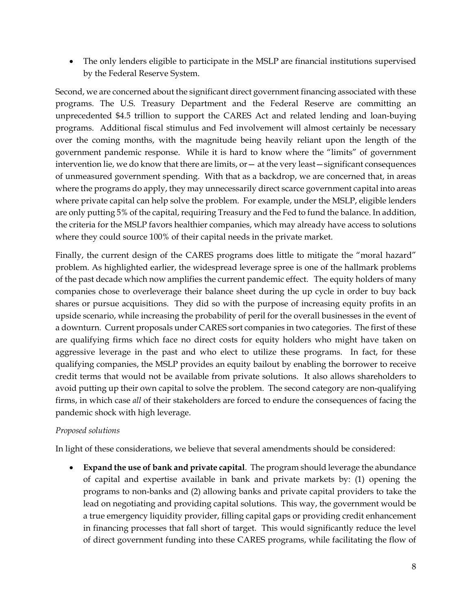The only lenders eligible to participate in the MSLP are financial institutions supervised by the Federal Reserve System.

Second, we are concerned about the significant direct government financing associated with these programs. The U.S. Treasury Department and the Federal Reserve are committing an unprecedented \$4.5 trillion to support the CARES Act and related lending and loan-buying programs. Additional fiscal stimulus and Fed involvement will almost certainly be necessary over the coming months, with the magnitude being heavily reliant upon the length of the government pandemic response. While it is hard to know where the "limits" of government intervention lie, we do know that there are limits,  $or$   $-$  at the very least  $-$  significant consequences of unmeasured government spending. With that as a backdrop, we are concerned that, in areas where the programs do apply, they may unnecessarily direct scarce government capital into areas where private capital can help solve the problem. For example, under the MSLP, eligible lenders are only putting 5% of the capital, requiring Treasury and the Fed to fund the balance. In addition, the criteria for the MSLP favors healthier companies, which may already have access to solutions where they could source 100% of their capital needs in the private market.

Finally, the current design of the CARES programs does little to mitigate the "moral hazard" problem. As highlighted earlier, the widespread leverage spree is one of the hallmark problems of the past decade which now amplifies the current pandemic effect. The equity holders of many companies chose to overleverage their balance sheet during the up cycle in order to buy back shares or pursue acquisitions. They did so with the purpose of increasing equity profits in an upside scenario, while increasing the probability of peril for the overall businesses in the event of a downturn. Current proposals under CARES sort companies in two categories. The first of these are qualifying firms which face no direct costs for equity holders who might have taken on aggressive leverage in the past and who elect to utilize these programs. In fact, for these qualifying companies, the MSLP provides an equity bailout by enabling the borrower to receive credit terms that would not be available from private solutions. It also allows shareholders to avoid putting up their own capital to solve the problem. The second category are non-qualifying firms, in which case *all* of their stakeholders are forced to endure the consequences of facing the pandemic shock with high leverage.

#### *Proposed solutions*

In light of these considerations, we believe that several amendments should be considered:

 **Expand the use of bank and private capital**. The program should leverage the abundance of capital and expertise available in bank and private markets by: (1) opening the programs to non-banks and (2) allowing banks and private capital providers to take the lead on negotiating and providing capital solutions. This way, the government would be a true emergency liquidity provider, filling capital gaps or providing credit enhancement in financing processes that fall short of target. This would significantly reduce the level of direct government funding into these CARES programs, while facilitating the flow of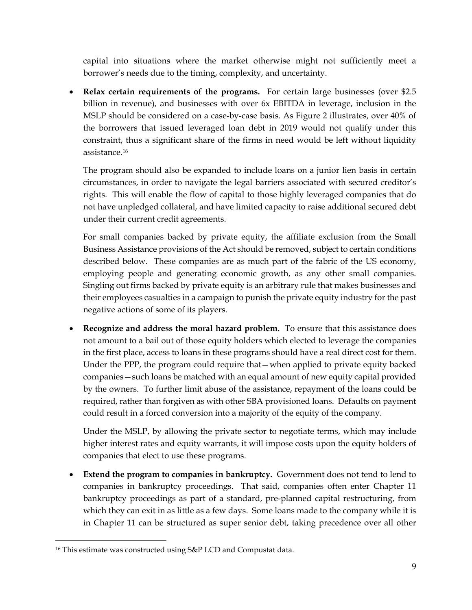capital into situations where the market otherwise might not sufficiently meet a borrower's needs due to the timing, complexity, and uncertainty.

• **Relax certain requirements of the programs.** For certain large businesses (over \$2.5 billion in revenue), and businesses with over 6x EBITDA in leverage, inclusion in the MSLP should be considered on a case-by-case basis. As Figure 2 illustrates, over 40% of the borrowers that issued leveraged loan debt in 2019 would not qualify under this constraint, thus a significant share of the firms in need would be left without liquidity assistance.16

The program should also be expanded to include loans on a junior lien basis in certain circumstances, in order to navigate the legal barriers associated with secured creditor's rights. This will enable the flow of capital to those highly leveraged companies that do not have unpledged collateral, and have limited capacity to raise additional secured debt under their current credit agreements.

For small companies backed by private equity, the affiliate exclusion from the Small Business Assistance provisions of the Act should be removed, subject to certain conditions described below. These companies are as much part of the fabric of the US economy, employing people and generating economic growth, as any other small companies. Singling out firms backed by private equity is an arbitrary rule that makes businesses and their employees casualties in a campaign to punish the private equity industry for the past negative actions of some of its players.

 **Recognize and address the moral hazard problem.** To ensure that this assistance does not amount to a bail out of those equity holders which elected to leverage the companies in the first place, access to loans in these programs should have a real direct cost for them. Under the PPP, the program could require that—when applied to private equity backed companies—such loans be matched with an equal amount of new equity capital provided by the owners. To further limit abuse of the assistance, repayment of the loans could be required, rather than forgiven as with other SBA provisioned loans. Defaults on payment could result in a forced conversion into a majority of the equity of the company.

Under the MSLP, by allowing the private sector to negotiate terms, which may include higher interest rates and equity warrants, it will impose costs upon the equity holders of companies that elect to use these programs.

 **Extend the program to companies in bankruptcy.** Government does not tend to lend to companies in bankruptcy proceedings. That said, companies often enter Chapter 11 bankruptcy proceedings as part of a standard, pre-planned capital restructuring, from which they can exit in as little as a few days. Some loans made to the company while it is in Chapter 11 can be structured as super senior debt, taking precedence over all other

<sup>16</sup> This estimate was constructed using S&P LCD and Compustat data.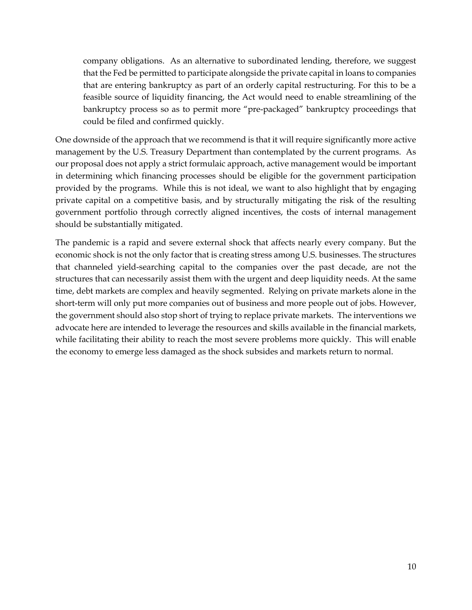company obligations. As an alternative to subordinated lending, therefore, we suggest that the Fed be permitted to participate alongside the private capital in loans to companies that are entering bankruptcy as part of an orderly capital restructuring. For this to be a feasible source of liquidity financing, the Act would need to enable streamlining of the bankruptcy process so as to permit more "pre-packaged" bankruptcy proceedings that could be filed and confirmed quickly.

One downside of the approach that we recommend is that it will require significantly more active management by the U.S. Treasury Department than contemplated by the current programs. As our proposal does not apply a strict formulaic approach, active management would be important in determining which financing processes should be eligible for the government participation provided by the programs. While this is not ideal, we want to also highlight that by engaging private capital on a competitive basis, and by structurally mitigating the risk of the resulting government portfolio through correctly aligned incentives, the costs of internal management should be substantially mitigated.

The pandemic is a rapid and severe external shock that affects nearly every company. But the economic shock is not the only factor that is creating stress among U.S. businesses. The structures that channeled yield-searching capital to the companies over the past decade, are not the structures that can necessarily assist them with the urgent and deep liquidity needs. At the same time, debt markets are complex and heavily segmented. Relying on private markets alone in the short-term will only put more companies out of business and more people out of jobs. However, the government should also stop short of trying to replace private markets. The interventions we advocate here are intended to leverage the resources and skills available in the financial markets, while facilitating their ability to reach the most severe problems more quickly. This will enable the economy to emerge less damaged as the shock subsides and markets return to normal.